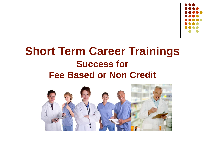

#### **Short Term Career Trainings Success for Fee Based or Non Credit**

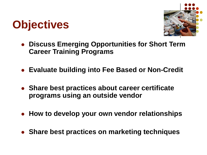



- **Discuss Emerging Opportunities for Short Term Career Training Programs**
- **Evaluate building into Fee Based or Non-Credit**
- **Share best practices about career certificate programs using an outside vendor**
- **How to develop your own vendor relationships**
- **Share best practices on marketing techniques**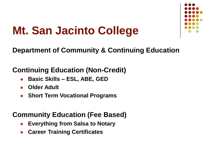

## **Mt. San Jacinto College**

#### **Department of Community & Continuing Education**

#### **Continuing Education (Non-Credit)**

- **Basic Skills – ESL, ABE, GED**
- **Older Adult**
- **Short Term Vocational Programs**

#### **Community Education (Fee Based)**

- **Everything from Salsa to Notary**
- **Career Training Certificates**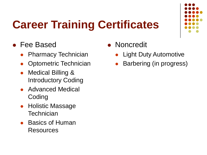# **Career Training Certificates**



- Fee Based
	- Pharmacy Technician
	- Optometric Technician
	- Medical Billing & Introductory Coding
	- Advanced Medical **Coding**
	- Holistic Massage **Technician**
	- Basics of Human Resources
- **Noncredit** 
	- Light Duty Automotive
	- Barbering (in progress)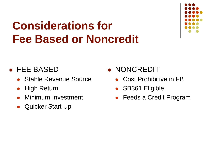## **Considerations for Fee Based or Noncredit**



#### FEE BASED

- Stable Revenue Source
- High Return
- Minimum Investment
- Quicker Start Up

**• NONCREDIT** 

- Cost Prohibitive in FB
- SB361 Eligible
- Feeds a Credit Program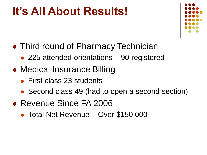#### **It's All About Results!**



- Third round of Pharmacy Technician
	- 225 attended orientations 90 registered
- Medical Insurance Billing
	- First class 23 students
	- Second class 49 (had to open a second section)
- Revenue Since FA 2006
	- Total Net Revenue Over \$150,000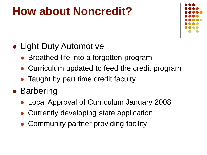#### **How about Noncredit?**



#### • Light Duty Automotive

- Breathed life into a forgotten program
- Curriculum updated to feed the credit program
- Taught by part time credit faculty

#### • Barbering

- Local Approval of Curriculum January 2008
- Currently developing state application
- Community partner providing facility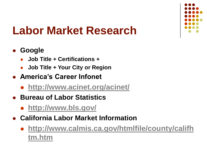

## **Labor Market Research**

#### **Google**

- **Job Title + Certifications +**
- **Job Title + Your City or Region**
- **America's Career Infonet**
	- **<http://www.acinet.org/acinet/>**
- **Bureau of Labor Statistics** 
	- **<http://www.bls.gov/>**
- **California Labor Market Information**
	- **[http://www.calmis.ca.gov/htmlfile/county/califh](http://www.calmis.ca.gov/htmlfile/county/califhtm.htm) tm.htm**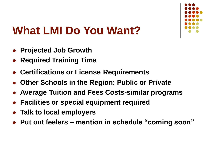

## **What LMI Do You Want?**

- **Projected Job Growth**
- **Required Training Time**
- **Certifications or License Requirements**
- **Other Schools in the Region; Public or Private**
- **Average Tuition and Fees Costs-similar programs**
- **Facilities or special equipment required**
- **Talk to local employers**
- **Put out feelers – mention in schedule "coming soon"**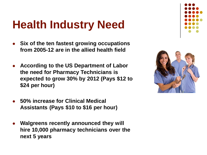## **Health Industry Need**

- **Six of the ten fastest growing occupations from 2005-12 are in the allied health field**
- **According to the US Department of Labor the need for Pharmacy Technicians is expected to grow 30% by 2012 (Pays \$12 to \$24 per hour)**
- **50% increase for Clinical Medical Assistants (Pays \$10 to \$16 per hour)**
- **Walgreens recently announced they will hire 10,000 pharmacy technicians over the next 5 years**



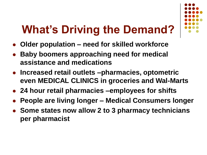# **What's Driving the Demand?**

- **Older population – need for skilled workforce**
- **Baby boomers approaching need for medical assistance and medications**
- **Increased retail outlets –pharmacies, optometric even MEDICAL CLINICS in groceries and Wal-Marts**
- **24 hour retail pharmacies –employees for shifts**
- **People are living longer – Medical Consumers longer**
- **Some states now allow 2 to 3 pharmacy technicians per pharmacist**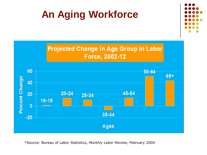#### **An Aging Workforce**





\*Source: Bureau of Labor Statistics, *Monthly Labor Review*, February 2004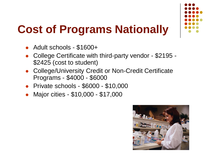

# **Cost of Programs Nationally**

- Adult schools \$1600+
- College Certificate with third-party vendor \$2195 \$2425 (cost to student)
- College/University Credit or Non-Credit Certificate Programs - \$4000 - \$6000
- Private schools \$6000 \$10,000
- Major cities \$10,000 \$17,000

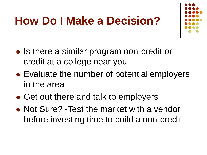## **How Do I Make a Decision?**



- Is there a similar program non-credit or credit at a college near you.
- Evaluate the number of potential employers in the area
- Get out there and talk to employers
- Not Sure? -Test the market with a vendor before investing time to build a non-credit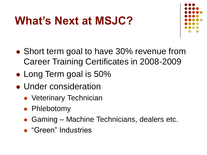### **What's Next at MSJC?**



- Short term goal to have 30% revenue from Career Training Certificates in 2008-2009
- Long Term goal is 50%
- Under consideration
	- Veterinary Technician
	- Phlebotomy
	- Gaming Machine Technicians, dealers etc.
	- **"Green" Industries**